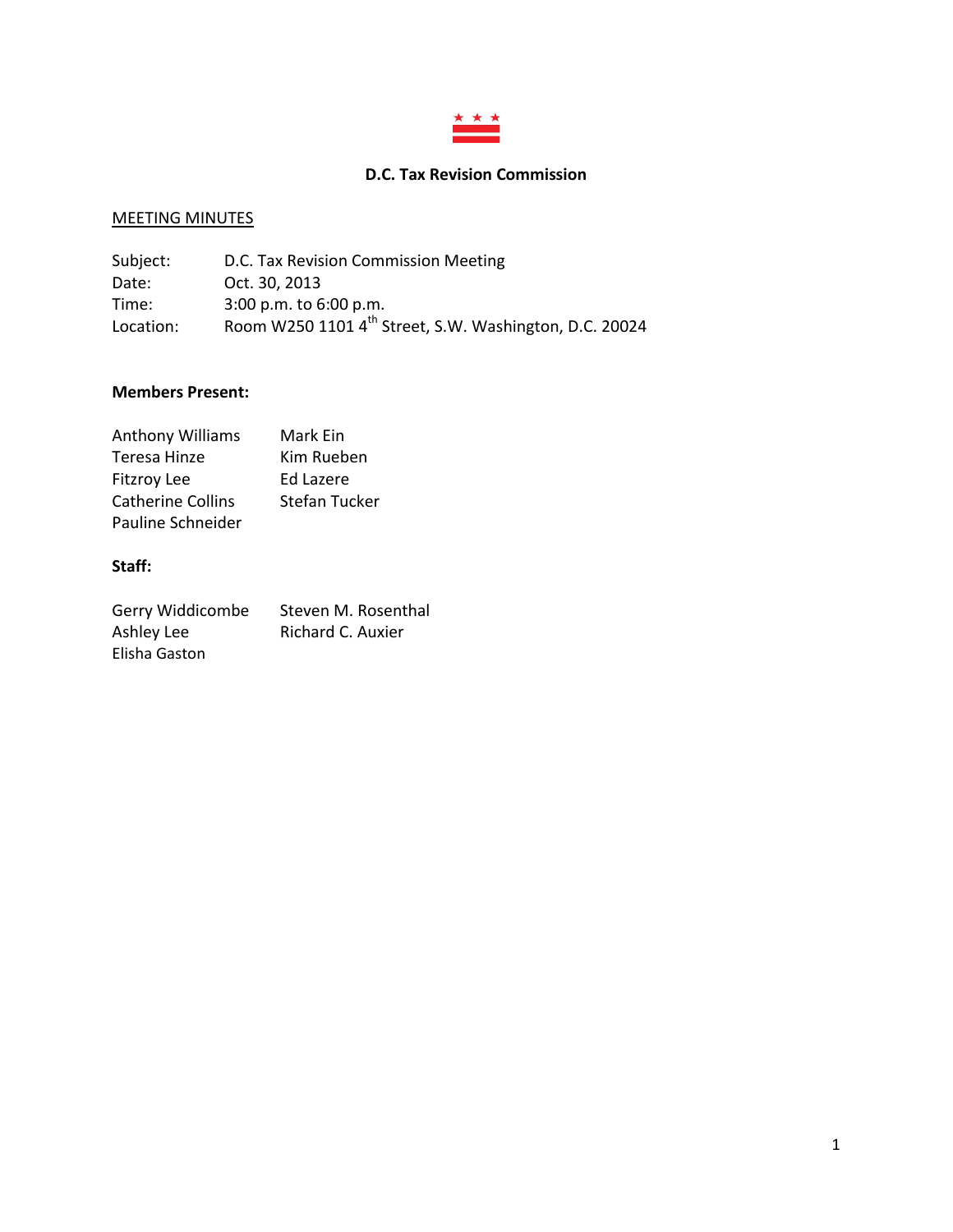

# **D.C. Tax Revision Commission**

# MEETING MINUTES

| Subject:  | D.C. Tax Revision Commission Meeting                               |
|-----------|--------------------------------------------------------------------|
| Date:     | Oct. 30, 2013                                                      |
| Time:     | $3:00$ p.m. to $6:00$ p.m.                                         |
| Location: | Room W250 1101 4 <sup>th</sup> Street, S.W. Washington, D.C. 20024 |

### **Members Present:**

| <b>Anthony Williams</b>  | Mark Ein      |
|--------------------------|---------------|
| Teresa Hinze             | Kim Rueben    |
| <b>Fitzroy Lee</b>       | Ed Lazere     |
| <b>Catherine Collins</b> | Stefan Tucker |
| Pauline Schneider        |               |

# **Staff:**

| Gerry Widdicombe | Steven M. Rosenthal |
|------------------|---------------------|
| Ashley Lee       | Richard C. Auxier   |
| Elisha Gaston    |                     |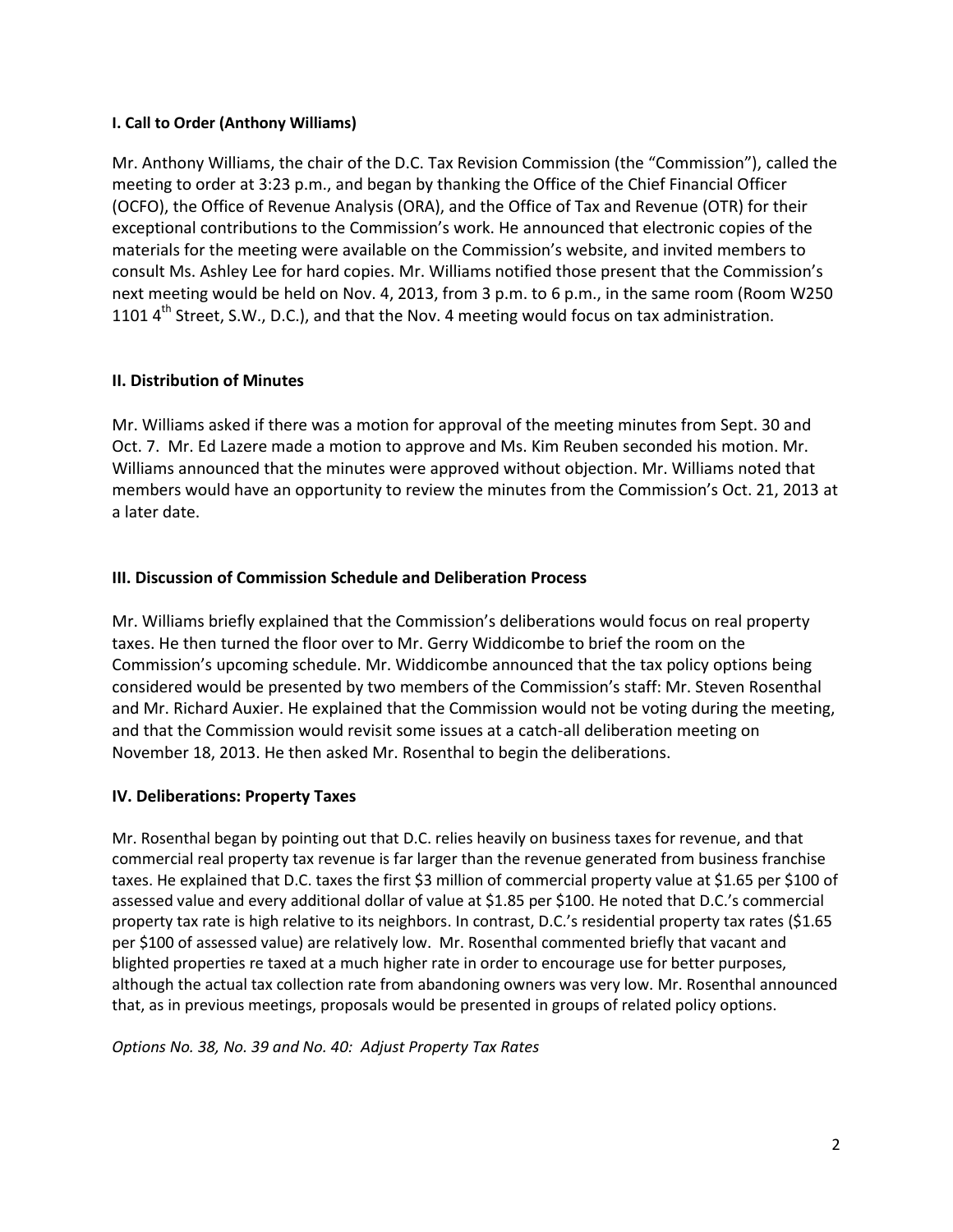### **I. Call to Order (Anthony Williams)**

Mr. Anthony Williams, the chair of the D.C. Tax Revision Commission (the "Commission"), called the meeting to order at 3:23 p.m., and began by thanking the Office of the Chief Financial Officer (OCFO), the Office of Revenue Analysis (ORA), and the Office of Tax and Revenue (OTR) for their exceptional contributions to the Commission's work. He announced that electronic copies of the materials for the meeting were available on the Commission's website, and invited members to consult Ms. Ashley Lee for hard copies. Mr. Williams notified those present that the Commission's next meeting would be held on Nov. 4, 2013, from 3 p.m. to 6 p.m., in the same room (Room W250 1101  $4<sup>th</sup>$  Street, S.W., D.C.), and that the Nov. 4 meeting would focus on tax administration.

# **II. Distribution of Minutes**

Mr. Williams asked if there was a motion for approval of the meeting minutes from Sept. 30 and Oct. 7. Mr. Ed Lazere made a motion to approve and Ms. Kim Reuben seconded his motion. Mr. Williams announced that the minutes were approved without objection. Mr. Williams noted that members would have an opportunity to review the minutes from the Commission's Oct. 21, 2013 at a later date.

# **III. Discussion of Commission Schedule and Deliberation Process**

Mr. Williams briefly explained that the Commission's deliberations would focus on real property taxes. He then turned the floor over to Mr. Gerry Widdicombe to brief the room on the Commission's upcoming schedule. Mr. Widdicombe announced that the tax policy options being considered would be presented by two members of the Commission's staff: Mr. Steven Rosenthal and Mr. Richard Auxier. He explained that the Commission would not be voting during the meeting, and that the Commission would revisit some issues at a catch-all deliberation meeting on November 18, 2013. He then asked Mr. Rosenthal to begin the deliberations.

# **IV. Deliberations: Property Taxes**

Mr. Rosenthal began by pointing out that D.C. relies heavily on business taxes for revenue, and that commercial real property tax revenue is far larger than the revenue generated from business franchise taxes. He explained that D.C. taxes the first \$3 million of commercial property value at \$1.65 per \$100 of assessed value and every additional dollar of value at \$1.85 per \$100. He noted that D.C.'s commercial property tax rate is high relative to its neighbors. In contrast, D.C.'s residential property tax rates (\$1.65 per \$100 of assessed value) are relatively low. Mr. Rosenthal commented briefly that vacant and blighted properties re taxed at a much higher rate in order to encourage use for better purposes, although the actual tax collection rate from abandoning owners was very low. Mr. Rosenthal announced that, as in previous meetings, proposals would be presented in groups of related policy options.

# *Options No. 38, No. 39 and No. 40: Adjust Property Tax Rates*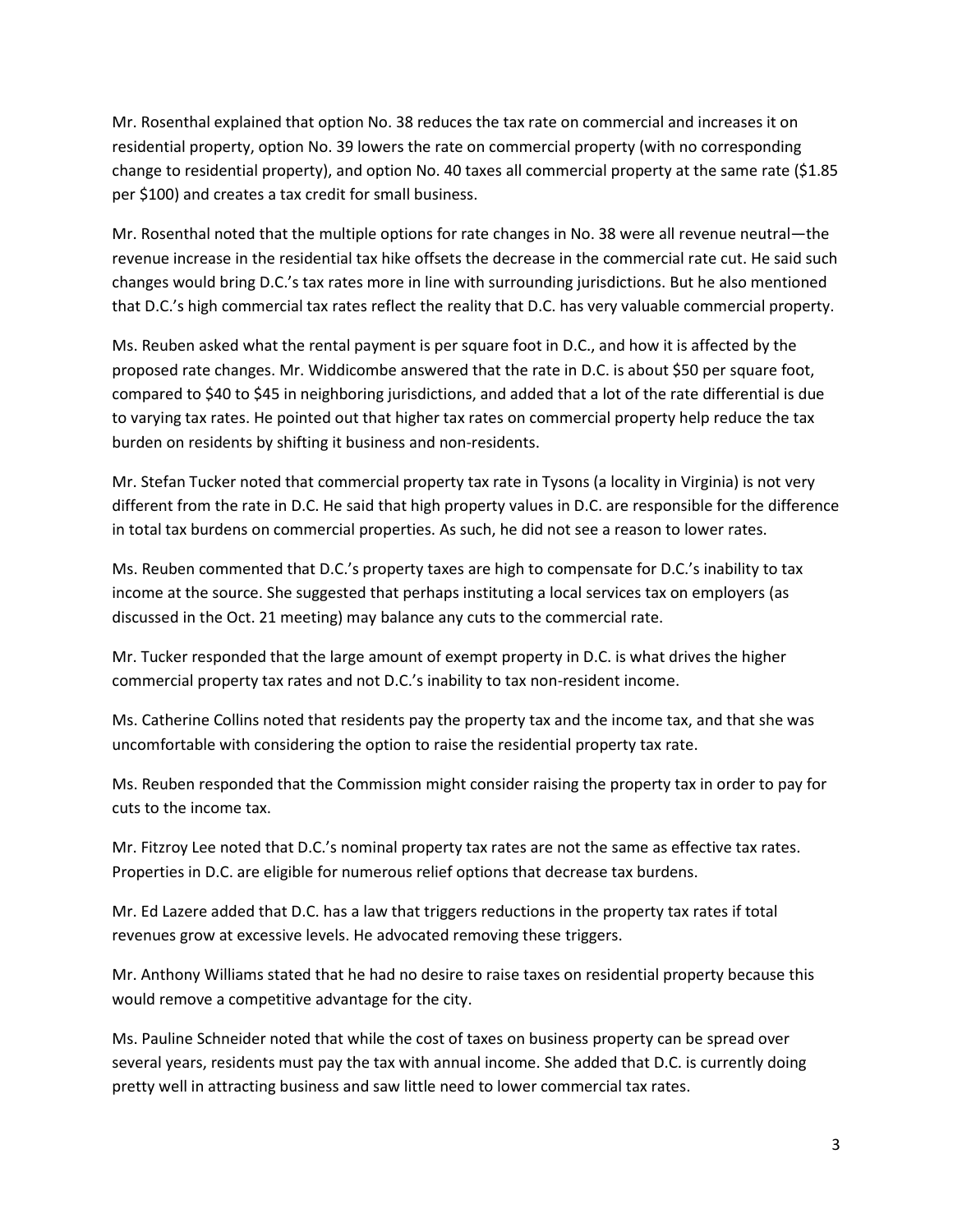Mr. Rosenthal explained that option No. 38 reduces the tax rate on commercial and increases it on residential property, option No. 39 lowers the rate on commercial property (with no corresponding change to residential property), and option No. 40 taxes all commercial property at the same rate (\$1.85 per \$100) and creates a tax credit for small business.

Mr. Rosenthal noted that the multiple options for rate changes in No. 38 were all revenue neutral—the revenue increase in the residential tax hike offsets the decrease in the commercial rate cut. He said such changes would bring D.C.'s tax rates more in line with surrounding jurisdictions. But he also mentioned that D.C.'s high commercial tax rates reflect the reality that D.C. has very valuable commercial property.

Ms. Reuben asked what the rental payment is per square foot in D.C., and how it is affected by the proposed rate changes. Mr. Widdicombe answered that the rate in D.C. is about \$50 per square foot, compared to \$40 to \$45 in neighboring jurisdictions, and added that a lot of the rate differential is due to varying tax rates. He pointed out that higher tax rates on commercial property help reduce the tax burden on residents by shifting it business and non-residents.

Mr. Stefan Tucker noted that commercial property tax rate in Tysons (a locality in Virginia) is not very different from the rate in D.C. He said that high property values in D.C. are responsible for the difference in total tax burdens on commercial properties. As such, he did not see a reason to lower rates.

Ms. Reuben commented that D.C.'s property taxes are high to compensate for D.C.'s inability to tax income at the source. She suggested that perhaps instituting a local services tax on employers (as discussed in the Oct. 21 meeting) may balance any cuts to the commercial rate.

Mr. Tucker responded that the large amount of exempt property in D.C. is what drives the higher commercial property tax rates and not D.C.'s inability to tax non-resident income.

Ms. Catherine Collins noted that residents pay the property tax and the income tax, and that she was uncomfortable with considering the option to raise the residential property tax rate.

Ms. Reuben responded that the Commission might consider raising the property tax in order to pay for cuts to the income tax.

Mr. Fitzroy Lee noted that D.C.'s nominal property tax rates are not the same as effective tax rates. Properties in D.C. are eligible for numerous relief options that decrease tax burdens.

Mr. Ed Lazere added that D.C. has a law that triggers reductions in the property tax rates if total revenues grow at excessive levels. He advocated removing these triggers.

Mr. Anthony Williams stated that he had no desire to raise taxes on residential property because this would remove a competitive advantage for the city.

Ms. Pauline Schneider noted that while the cost of taxes on business property can be spread over several years, residents must pay the tax with annual income. She added that D.C. is currently doing pretty well in attracting business and saw little need to lower commercial tax rates.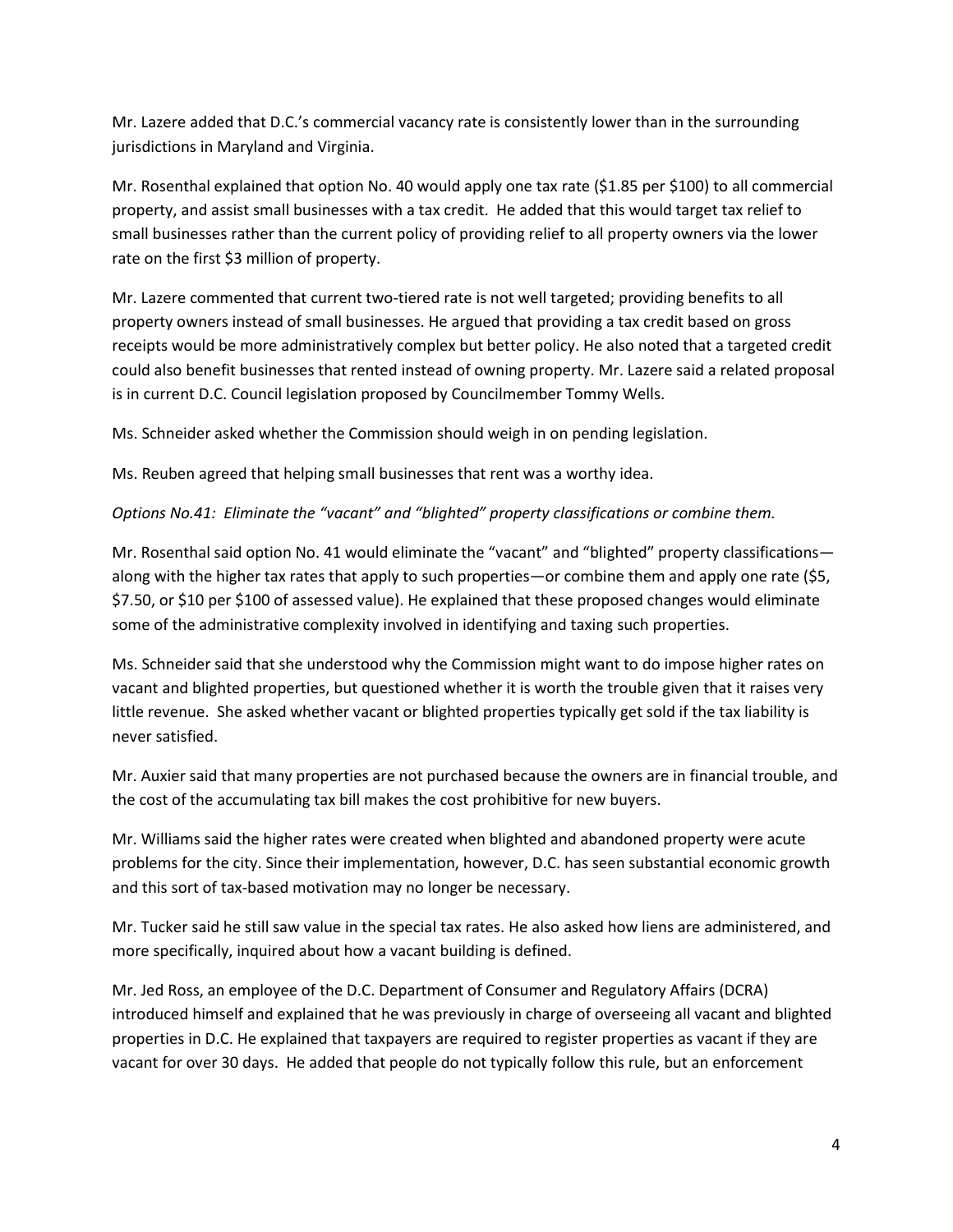Mr. Lazere added that D.C.'s commercial vacancy rate is consistently lower than in the surrounding jurisdictions in Maryland and Virginia.

Mr. Rosenthal explained that option No. 40 would apply one tax rate (\$1.85 per \$100) to all commercial property, and assist small businesses with a tax credit. He added that this would target tax relief to small businesses rather than the current policy of providing relief to all property owners via the lower rate on the first \$3 million of property.

Mr. Lazere commented that current two-tiered rate is not well targeted; providing benefits to all property owners instead of small businesses. He argued that providing a tax credit based on gross receipts would be more administratively complex but better policy. He also noted that a targeted credit could also benefit businesses that rented instead of owning property. Mr. Lazere said a related proposal is in current D.C. Council legislation proposed by Councilmember Tommy Wells.

Ms. Schneider asked whether the Commission should weigh in on pending legislation.

Ms. Reuben agreed that helping small businesses that rent was a worthy idea.

# *Options No.41: Eliminate the "vacant" and "blighted" property classifications or combine them.*

Mr. Rosenthal said option No. 41 would eliminate the "vacant" and "blighted" property classifications along with the higher tax rates that apply to such properties—or combine them and apply one rate (\$5, \$7.50, or \$10 per \$100 of assessed value). He explained that these proposed changes would eliminate some of the administrative complexity involved in identifying and taxing such properties.

Ms. Schneider said that she understood why the Commission might want to do impose higher rates on vacant and blighted properties, but questioned whether it is worth the trouble given that it raises very little revenue. She asked whether vacant or blighted properties typically get sold if the tax liability is never satisfied.

Mr. Auxier said that many properties are not purchased because the owners are in financial trouble, and the cost of the accumulating tax bill makes the cost prohibitive for new buyers.

Mr. Williams said the higher rates were created when blighted and abandoned property were acute problems for the city. Since their implementation, however, D.C. has seen substantial economic growth and this sort of tax-based motivation may no longer be necessary.

Mr. Tucker said he still saw value in the special tax rates. He also asked how liens are administered, and more specifically, inquired about how a vacant building is defined.

Mr. Jed Ross, an employee of the D.C. Department of Consumer and Regulatory Affairs (DCRA) introduced himself and explained that he was previously in charge of overseeing all vacant and blighted properties in D.C. He explained that taxpayers are required to register properties as vacant if they are vacant for over 30 days. He added that people do not typically follow this rule, but an enforcement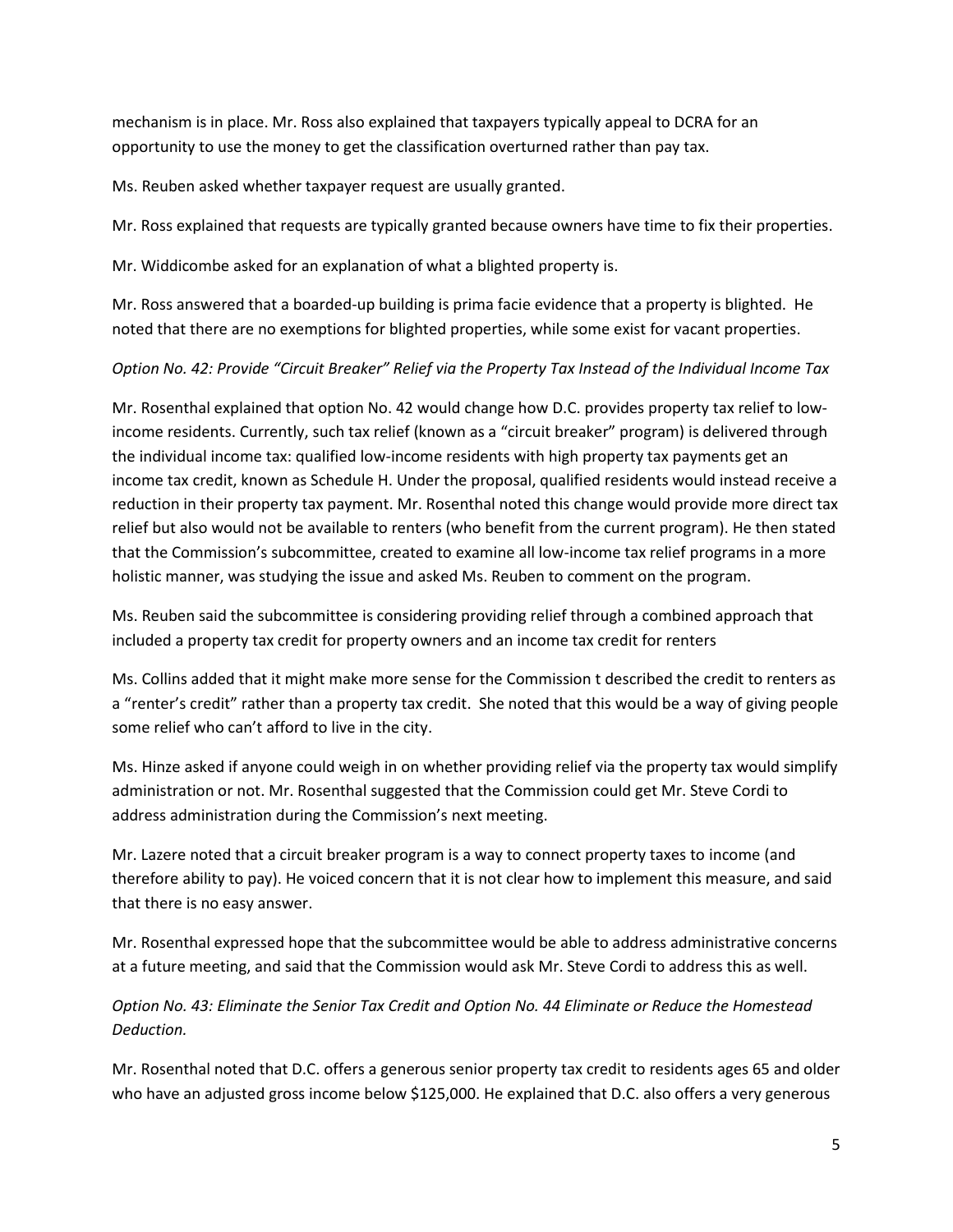mechanism is in place. Mr. Ross also explained that taxpayers typically appeal to DCRA for an opportunity to use the money to get the classification overturned rather than pay tax.

Ms. Reuben asked whether taxpayer request are usually granted.

Mr. Ross explained that requests are typically granted because owners have time to fix their properties.

Mr. Widdicombe asked for an explanation of what a blighted property is.

Mr. Ross answered that a boarded-up building is prima facie evidence that a property is blighted. He noted that there are no exemptions for blighted properties, while some exist for vacant properties.

# *Option No. 42: Provide "Circuit Breaker" Relief via the Property Tax Instead of the Individual Income Tax*

Mr. Rosenthal explained that option No. 42 would change how D.C. provides property tax relief to lowincome residents. Currently, such tax relief (known as a "circuit breaker" program) is delivered through the individual income tax: qualified low-income residents with high property tax payments get an income tax credit, known as Schedule H. Under the proposal, qualified residents would instead receive a reduction in their property tax payment. Mr. Rosenthal noted this change would provide more direct tax relief but also would not be available to renters (who benefit from the current program). He then stated that the Commission's subcommittee, created to examine all low-income tax relief programs in a more holistic manner, was studying the issue and asked Ms. Reuben to comment on the program.

Ms. Reuben said the subcommittee is considering providing relief through a combined approach that included a property tax credit for property owners and an income tax credit for renters

Ms. Collins added that it might make more sense for the Commission t described the credit to renters as a "renter's credit" rather than a property tax credit. She noted that this would be a way of giving people some relief who can't afford to live in the city.

Ms. Hinze asked if anyone could weigh in on whether providing relief via the property tax would simplify administration or not. Mr. Rosenthal suggested that the Commission could get Mr. Steve Cordi to address administration during the Commission's next meeting.

Mr. Lazere noted that a circuit breaker program is a way to connect property taxes to income (and therefore ability to pay). He voiced concern that it is not clear how to implement this measure, and said that there is no easy answer.

Mr. Rosenthal expressed hope that the subcommittee would be able to address administrative concerns at a future meeting, and said that the Commission would ask Mr. Steve Cordi to address this as well.

*Option No. 43: Eliminate the Senior Tax Credit and Option No. 44 Eliminate or Reduce the Homestead Deduction.* 

Mr. Rosenthal noted that D.C. offers a generous senior property tax credit to residents ages 65 and older who have an adjusted gross income below \$125,000. He explained that D.C. also offers a very generous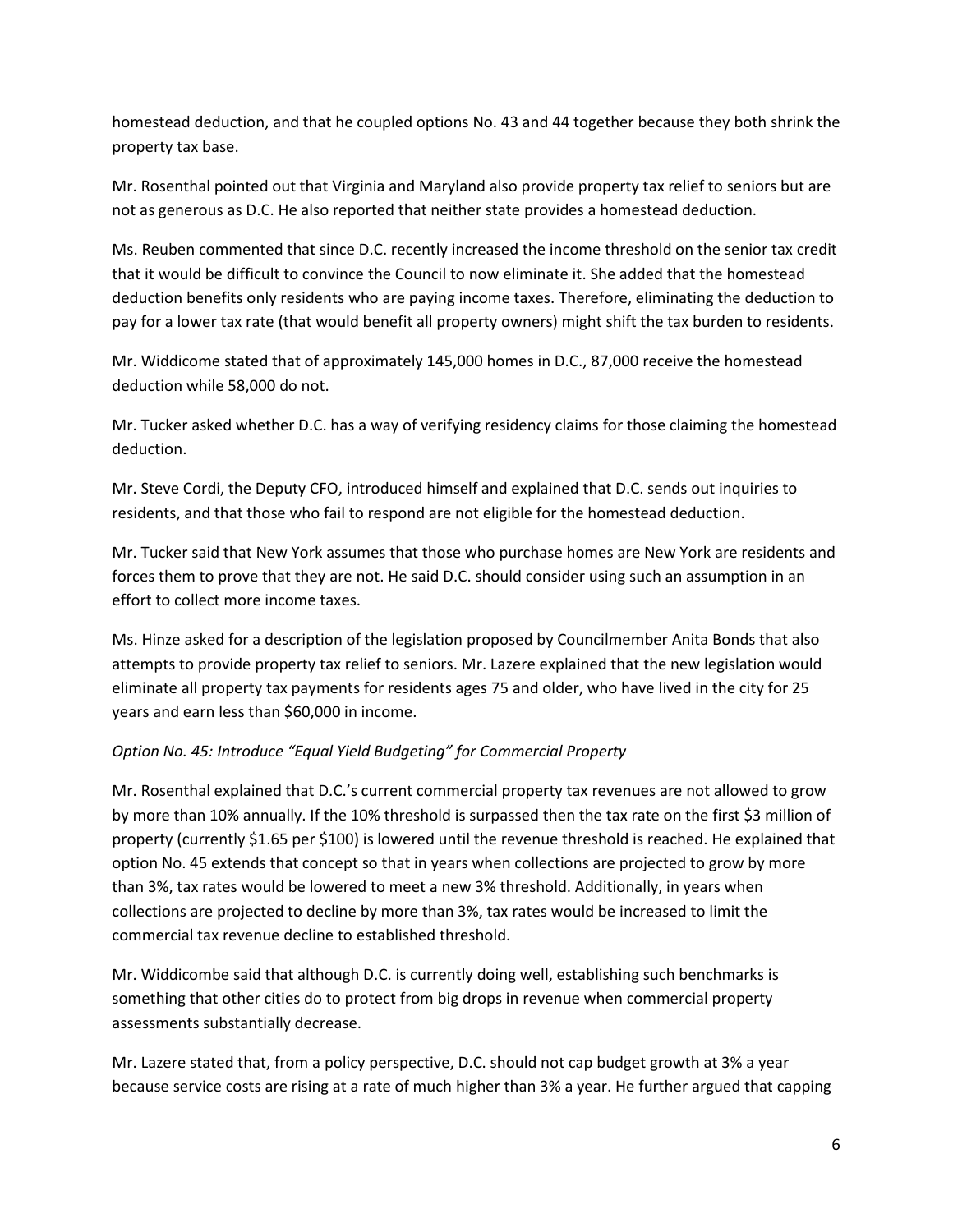homestead deduction, and that he coupled options No. 43 and 44 together because they both shrink the property tax base.

Mr. Rosenthal pointed out that Virginia and Maryland also provide property tax relief to seniors but are not as generous as D.C. He also reported that neither state provides a homestead deduction.

Ms. Reuben commented that since D.C. recently increased the income threshold on the senior tax credit that it would be difficult to convince the Council to now eliminate it. She added that the homestead deduction benefits only residents who are paying income taxes. Therefore, eliminating the deduction to pay for a lower tax rate (that would benefit all property owners) might shift the tax burden to residents.

Mr. Widdicome stated that of approximately 145,000 homes in D.C., 87,000 receive the homestead deduction while 58,000 do not.

Mr. Tucker asked whether D.C. has a way of verifying residency claims for those claiming the homestead deduction.

Mr. Steve Cordi, the Deputy CFO, introduced himself and explained that D.C. sends out inquiries to residents, and that those who fail to respond are not eligible for the homestead deduction.

Mr. Tucker said that New York assumes that those who purchase homes are New York are residents and forces them to prove that they are not. He said D.C. should consider using such an assumption in an effort to collect more income taxes.

Ms. Hinze asked for a description of the legislation proposed by Councilmember Anita Bonds that also attempts to provide property tax relief to seniors. Mr. Lazere explained that the new legislation would eliminate all property tax payments for residents ages 75 and older, who have lived in the city for 25 years and earn less than \$60,000 in income.

# *Option No. 45: Introduce "Equal Yield Budgeting" for Commercial Property*

Mr. Rosenthal explained that D.C.'s current commercial property tax revenues are not allowed to grow by more than 10% annually. If the 10% threshold is surpassed then the tax rate on the first \$3 million of property (currently \$1.65 per \$100) is lowered until the revenue threshold is reached. He explained that option No. 45 extends that concept so that in years when collections are projected to grow by more than 3%, tax rates would be lowered to meet a new 3% threshold. Additionally, in years when collections are projected to decline by more than 3%, tax rates would be increased to limit the commercial tax revenue decline to established threshold.

Mr. Widdicombe said that although D.C. is currently doing well, establishing such benchmarks is something that other cities do to protect from big drops in revenue when commercial property assessments substantially decrease.

Mr. Lazere stated that, from a policy perspective, D.C. should not cap budget growth at 3% a year because service costs are rising at a rate of much higher than 3% a year. He further argued that capping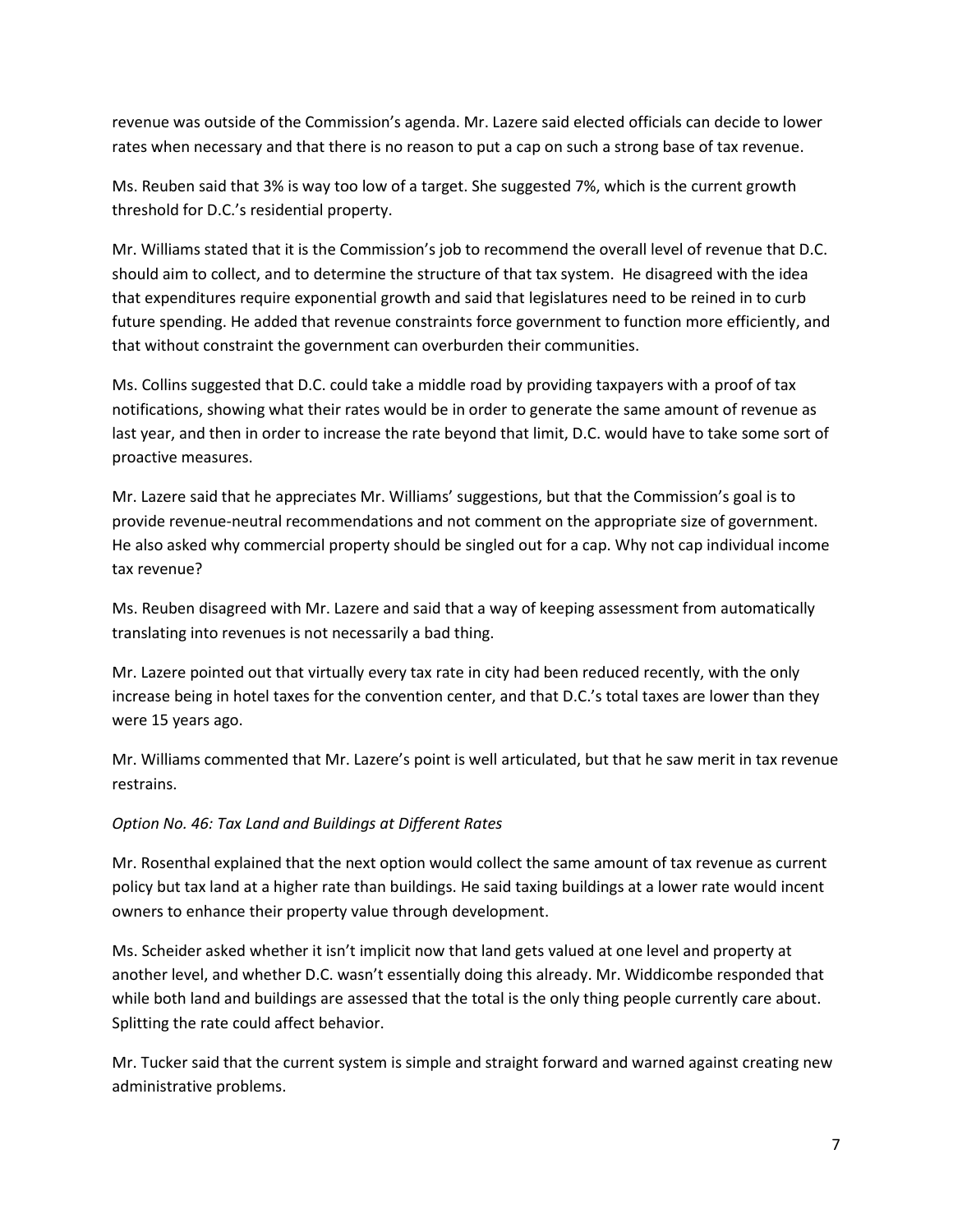revenue was outside of the Commission's agenda. Mr. Lazere said elected officials can decide to lower rates when necessary and that there is no reason to put a cap on such a strong base of tax revenue.

Ms. Reuben said that 3% is way too low of a target. She suggested 7%, which is the current growth threshold for D.C.'s residential property.

Mr. Williams stated that it is the Commission's job to recommend the overall level of revenue that D.C. should aim to collect, and to determine the structure of that tax system. He disagreed with the idea that expenditures require exponential growth and said that legislatures need to be reined in to curb future spending. He added that revenue constraints force government to function more efficiently, and that without constraint the government can overburden their communities.

Ms. Collins suggested that D.C. could take a middle road by providing taxpayers with a proof of tax notifications, showing what their rates would be in order to generate the same amount of revenue as last year, and then in order to increase the rate beyond that limit, D.C. would have to take some sort of proactive measures.

Mr. Lazere said that he appreciates Mr. Williams' suggestions, but that the Commission's goal is to provide revenue-neutral recommendations and not comment on the appropriate size of government. He also asked why commercial property should be singled out for a cap. Why not cap individual income tax revenue?

Ms. Reuben disagreed with Mr. Lazere and said that a way of keeping assessment from automatically translating into revenues is not necessarily a bad thing.

Mr. Lazere pointed out that virtually every tax rate in city had been reduced recently, with the only increase being in hotel taxes for the convention center, and that D.C.'s total taxes are lower than they were 15 years ago.

Mr. Williams commented that Mr. Lazere's point is well articulated, but that he saw merit in tax revenue restrains.

# *Option No. 46: Tax Land and Buildings at Different Rates*

Mr. Rosenthal explained that the next option would collect the same amount of tax revenue as current policy but tax land at a higher rate than buildings. He said taxing buildings at a lower rate would incent owners to enhance their property value through development.

Ms. Scheider asked whether it isn't implicit now that land gets valued at one level and property at another level, and whether D.C. wasn't essentially doing this already. Mr. Widdicombe responded that while both land and buildings are assessed that the total is the only thing people currently care about. Splitting the rate could affect behavior.

Mr. Tucker said that the current system is simple and straight forward and warned against creating new administrative problems.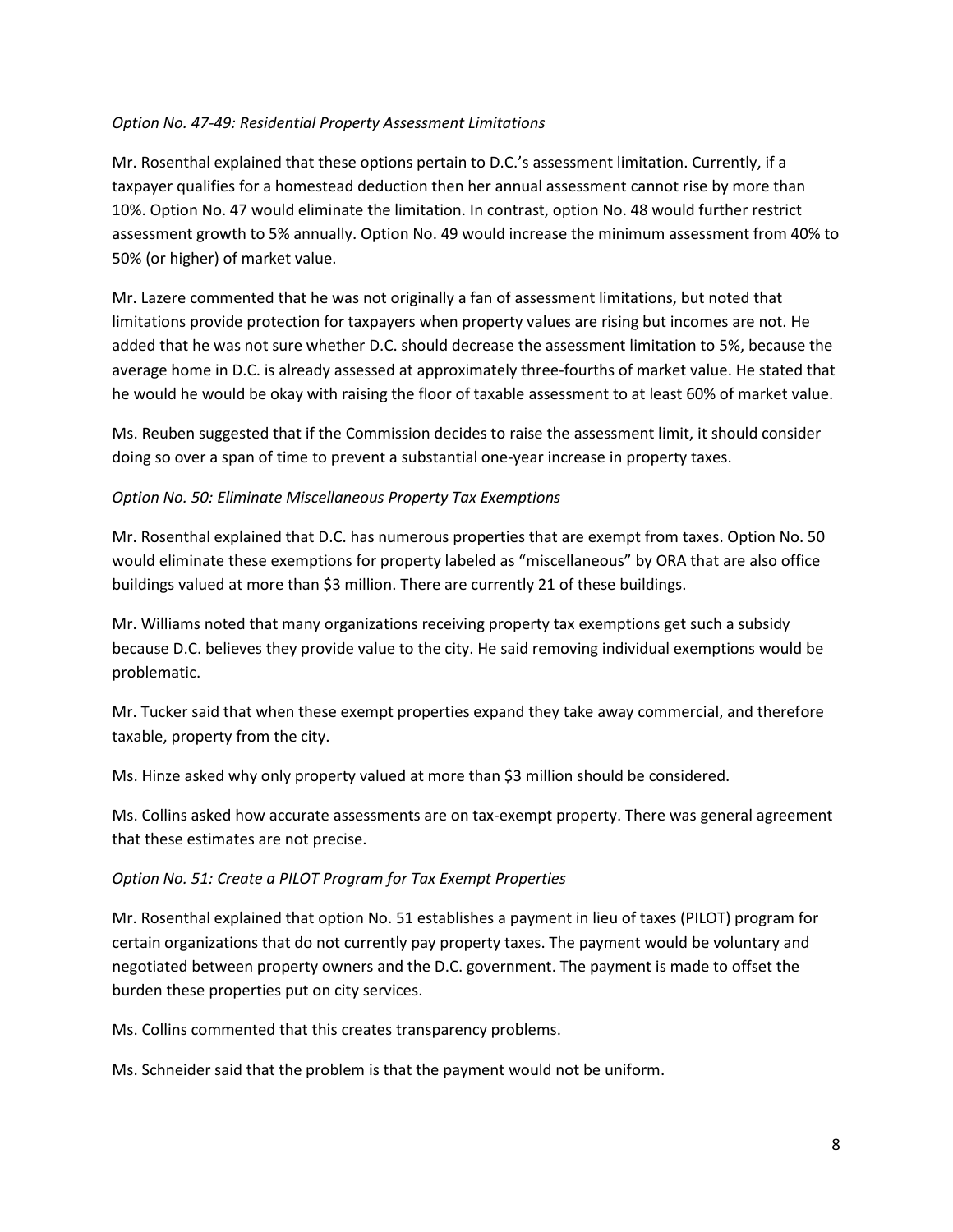### *Option No. 47-49: Residential Property Assessment Limitations*

Mr. Rosenthal explained that these options pertain to D.C.'s assessment limitation. Currently, if a taxpayer qualifies for a homestead deduction then her annual assessment cannot rise by more than 10%. Option No. 47 would eliminate the limitation. In contrast, option No. 48 would further restrict assessment growth to 5% annually. Option No. 49 would increase the minimum assessment from 40% to 50% (or higher) of market value.

Mr. Lazere commented that he was not originally a fan of assessment limitations, but noted that limitations provide protection for taxpayers when property values are rising but incomes are not. He added that he was not sure whether D.C. should decrease the assessment limitation to 5%, because the average home in D.C. is already assessed at approximately three-fourths of market value. He stated that he would he would be okay with raising the floor of taxable assessment to at least 60% of market value.

Ms. Reuben suggested that if the Commission decides to raise the assessment limit, it should consider doing so over a span of time to prevent a substantial one-year increase in property taxes.

### *Option No. 50: Eliminate Miscellaneous Property Tax Exemptions*

Mr. Rosenthal explained that D.C. has numerous properties that are exempt from taxes. Option No. 50 would eliminate these exemptions for property labeled as "miscellaneous" by ORA that are also office buildings valued at more than \$3 million. There are currently 21 of these buildings.

Mr. Williams noted that many organizations receiving property tax exemptions get such a subsidy because D.C. believes they provide value to the city. He said removing individual exemptions would be problematic.

Mr. Tucker said that when these exempt properties expand they take away commercial, and therefore taxable, property from the city.

Ms. Hinze asked why only property valued at more than \$3 million should be considered.

Ms. Collins asked how accurate assessments are on tax-exempt property. There was general agreement that these estimates are not precise.

### *Option No. 51: Create a PILOT Program for Tax Exempt Properties*

Mr. Rosenthal explained that option No. 51 establishes a payment in lieu of taxes (PILOT) program for certain organizations that do not currently pay property taxes. The payment would be voluntary and negotiated between property owners and the D.C. government. The payment is made to offset the burden these properties put on city services.

Ms. Collins commented that this creates transparency problems.

Ms. Schneider said that the problem is that the payment would not be uniform.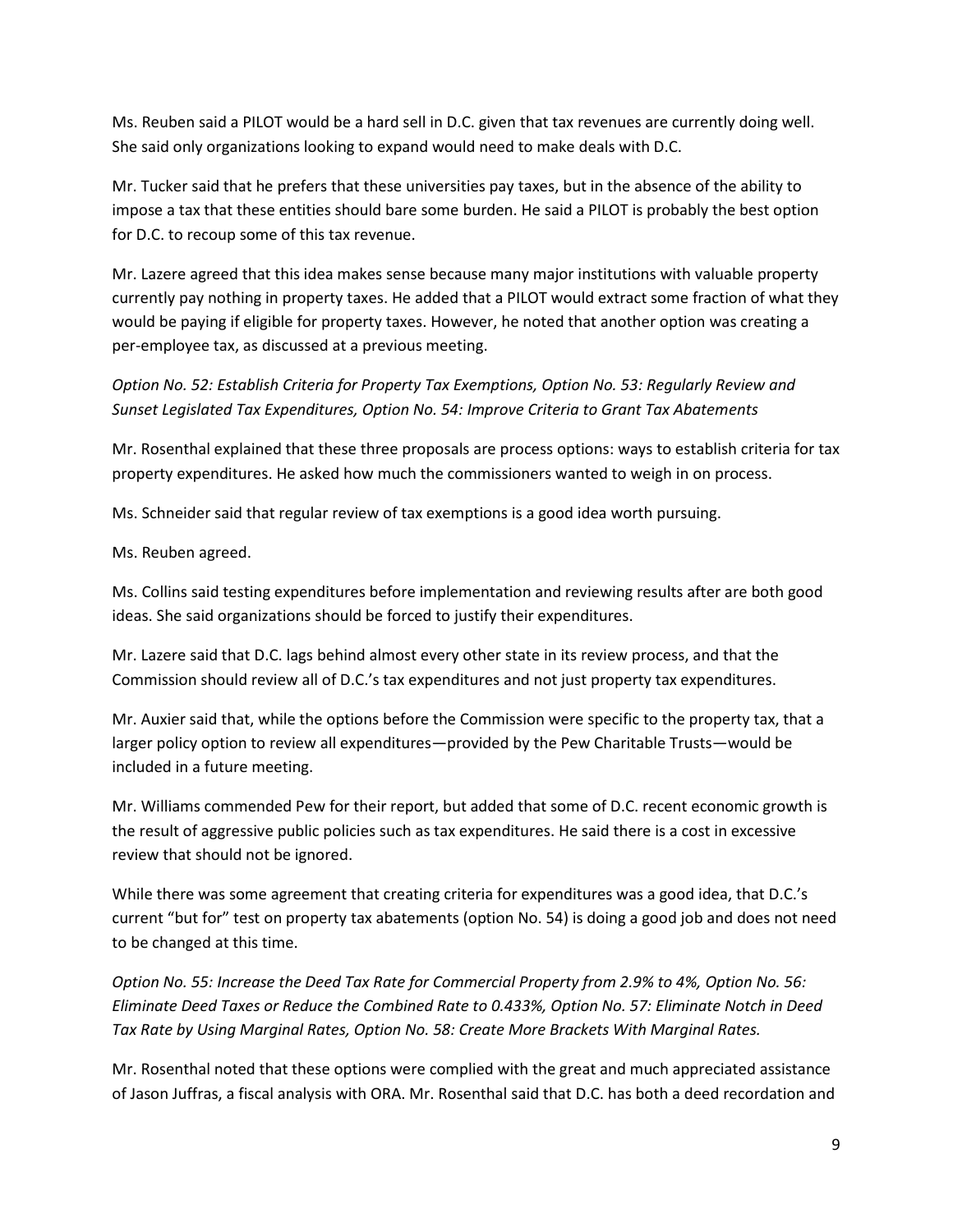Ms. Reuben said a PILOT would be a hard sell in D.C. given that tax revenues are currently doing well. She said only organizations looking to expand would need to make deals with D.C.

Mr. Tucker said that he prefers that these universities pay taxes, but in the absence of the ability to impose a tax that these entities should bare some burden. He said a PILOT is probably the best option for D.C. to recoup some of this tax revenue.

Mr. Lazere agreed that this idea makes sense because many major institutions with valuable property currently pay nothing in property taxes. He added that a PILOT would extract some fraction of what they would be paying if eligible for property taxes. However, he noted that another option was creating a per-employee tax, as discussed at a previous meeting.

*Option No. 52: Establish Criteria for Property Tax Exemptions, Option No. 53: Regularly Review and Sunset Legislated Tax Expenditures, Option No. 54: Improve Criteria to Grant Tax Abatements*

Mr. Rosenthal explained that these three proposals are process options: ways to establish criteria for tax property expenditures. He asked how much the commissioners wanted to weigh in on process.

Ms. Schneider said that regular review of tax exemptions is a good idea worth pursuing.

Ms. Reuben agreed.

Ms. Collins said testing expenditures before implementation and reviewing results after are both good ideas. She said organizations should be forced to justify their expenditures.

Mr. Lazere said that D.C. lags behind almost every other state in its review process, and that the Commission should review all of D.C.'s tax expenditures and not just property tax expenditures.

Mr. Auxier said that, while the options before the Commission were specific to the property tax, that a larger policy option to review all expenditures—provided by the Pew Charitable Trusts—would be included in a future meeting.

Mr. Williams commended Pew for their report, but added that some of D.C. recent economic growth is the result of aggressive public policies such as tax expenditures. He said there is a cost in excessive review that should not be ignored.

While there was some agreement that creating criteria for expenditures was a good idea, that D.C.'s current "but for" test on property tax abatements (option No. 54) is doing a good job and does not need to be changed at this time.

*Option No. 55: Increase the Deed Tax Rate for Commercial Property from 2.9% to 4%, Option No. 56: Eliminate Deed Taxes or Reduce the Combined Rate to 0.433%, Option No. 57: Eliminate Notch in Deed Tax Rate by Using Marginal Rates, Option No. 58: Create More Brackets With Marginal Rates.*

Mr. Rosenthal noted that these options were complied with the great and much appreciated assistance of Jason Juffras, a fiscal analysis with ORA. Mr. Rosenthal said that D.C. has both a deed recordation and